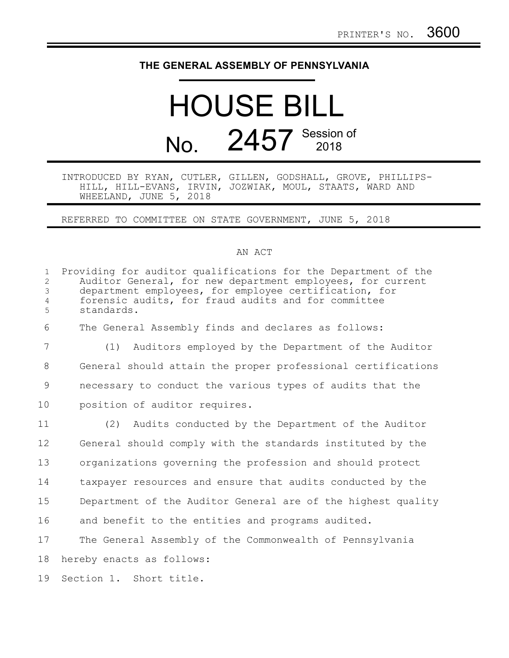## **THE GENERAL ASSEMBLY OF PENNSYLVANIA**

## HOUSE BILL No. 2457 Session of

INTRODUCED BY RYAN, CUTLER, GILLEN, GODSHALL, GROVE, PHILLIPS-HILL, HILL-EVANS, IRVIN, JOZWIAK, MOUL, STAATS, WARD AND WHEELAND, JUNE 5, 2018

REFERRED TO COMMITTEE ON STATE GOVERNMENT, JUNE 5, 2018

## AN ACT

| $\mathbf{1}$<br>2<br>3<br>$\overline{4}$<br>5 | Providing for auditor qualifications for the Department of the<br>Auditor General, for new department employees, for current<br>department employees, for employee certification, for<br>forensic audits, for fraud audits and for committee<br>standards. |
|-----------------------------------------------|------------------------------------------------------------------------------------------------------------------------------------------------------------------------------------------------------------------------------------------------------------|
| 6                                             | The General Assembly finds and declares as follows:                                                                                                                                                                                                        |
| $\overline{7}$                                | Auditors employed by the Department of the Auditor<br>(1)                                                                                                                                                                                                  |
| 8                                             | General should attain the proper professional certifications                                                                                                                                                                                               |
| 9                                             | necessary to conduct the various types of audits that the                                                                                                                                                                                                  |
| 10                                            | position of auditor requires.                                                                                                                                                                                                                              |
| 11                                            | (2) Audits conducted by the Department of the Auditor                                                                                                                                                                                                      |
| 12                                            | General should comply with the standards instituted by the                                                                                                                                                                                                 |
| 13                                            | organizations governing the profession and should protect                                                                                                                                                                                                  |
| 14                                            | taxpayer resources and ensure that audits conducted by the                                                                                                                                                                                                 |
| 15                                            | Department of the Auditor General are of the highest quality                                                                                                                                                                                               |
| 16                                            | and benefit to the entities and programs audited.                                                                                                                                                                                                          |
| 17                                            | The General Assembly of the Commonwealth of Pennsylvania                                                                                                                                                                                                   |
| 18                                            | hereby enacts as follows:                                                                                                                                                                                                                                  |
| 19                                            | Section 1. Short title.                                                                                                                                                                                                                                    |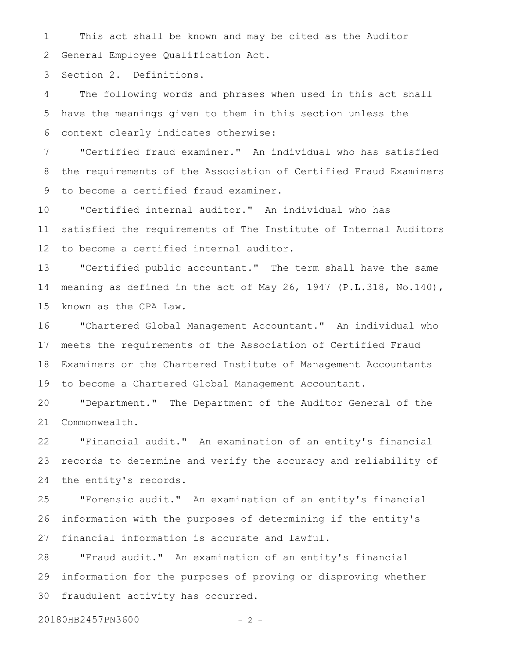This act shall be known and may be cited as the Auditor General Employee Qualification Act. 1 2

Section 2. Definitions. 3

The following words and phrases when used in this act shall have the meanings given to them in this section unless the context clearly indicates otherwise: 4 5 6

"Certified fraud examiner." An individual who has satisfied the requirements of the Association of Certified Fraud Examiners to become a certified fraud examiner. 7 8 9

"Certified internal auditor." An individual who has satisfied the requirements of The Institute of Internal Auditors to become a certified internal auditor. 10 11 12

"Certified public accountant." The term shall have the same meaning as defined in the act of May 26, 1947 (P.L.318, No.140), known as the CPA Law. 13 14 15

"Chartered Global Management Accountant." An individual who meets the requirements of the Association of Certified Fraud Examiners or the Chartered Institute of Management Accountants to become a Chartered Global Management Accountant. 16 17 18 19

"Department." The Department of the Auditor General of the Commonwealth. 20 21

"Financial audit." An examination of an entity's financial records to determine and verify the accuracy and reliability of the entity's records. 22 23 24

"Forensic audit." An examination of an entity's financial information with the purposes of determining if the entity's financial information is accurate and lawful. 25 26 27

"Fraud audit." An examination of an entity's financial information for the purposes of proving or disproving whether fraudulent activity has occurred. 28 29 30

20180HB2457PN3600 - 2 -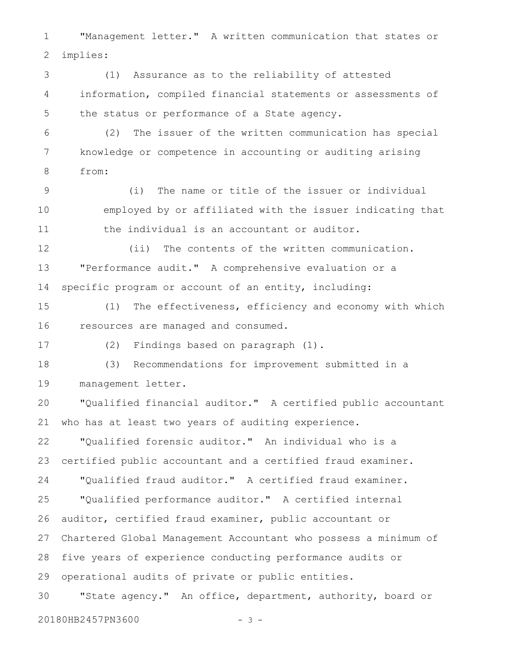"Management letter." A written communication that states or implies: 1 2

(1) Assurance as to the reliability of attested information, compiled financial statements or assessments of the status or performance of a State agency. 3 4 5

(2) The issuer of the written communication has special knowledge or competence in accounting or auditing arising from: 6 7 8

(i) The name or title of the issuer or individual employed by or affiliated with the issuer indicating that the individual is an accountant or auditor. 9 10 11

(ii) The contents of the written communication. "Performance audit." A comprehensive evaluation or a specific program or account of an entity, including: 12 13 14

(1) The effectiveness, efficiency and economy with which resources are managed and consumed. 15 16

17

(2) Findings based on paragraph (1).

(3) Recommendations for improvement submitted in a management letter. 18 19

"Qualified financial auditor." A certified public accountant who has at least two years of auditing experience. 20 21

"Qualified forensic auditor." An individual who is a certified public accountant and a certified fraud examiner. "Qualified fraud auditor." A certified fraud examiner. 22 23 24

"Qualified performance auditor." A certified internal auditor, certified fraud examiner, public accountant or Chartered Global Management Accountant who possess a minimum of five years of experience conducting performance audits or operational audits of private or public entities. 25 26 27 28 29

"State agency." An office, department, authority, board or 30

20180HB2457PN3600 - 3 -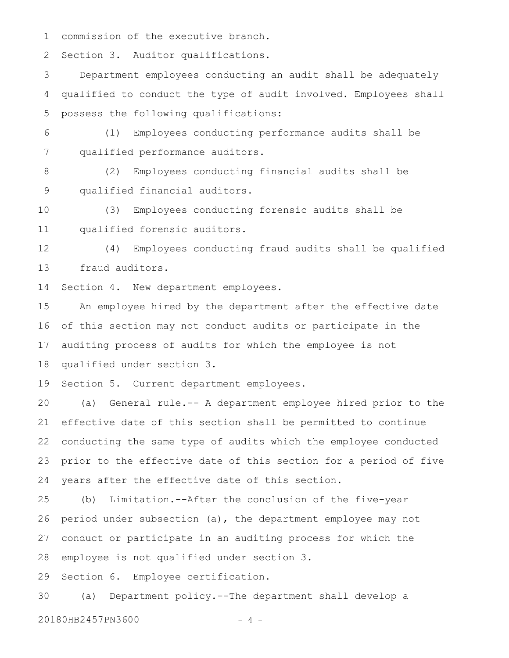commission of the executive branch. 1

Section 3. Auditor qualifications. 2

Department employees conducting an audit shall be adequately qualified to conduct the type of audit involved. Employees shall possess the following qualifications: 3 4 5

(1) Employees conducting performance audits shall be qualified performance auditors. 6 7

(2) Employees conducting financial audits shall be qualified financial auditors. 8 9

(3) Employees conducting forensic audits shall be qualified forensic auditors. 10 11

(4) Employees conducting fraud audits shall be qualified fraud auditors. 12 13

Section 4. New department employees. 14

An employee hired by the department after the effective date of this section may not conduct audits or participate in the auditing process of audits for which the employee is not qualified under section 3. 15 16 17 18

Section 5. Current department employees. 19

(a) General rule.-- A department employee hired prior to the effective date of this section shall be permitted to continue conducting the same type of audits which the employee conducted prior to the effective date of this section for a period of five years after the effective date of this section. 20 21 22 23 24

(b) Limitation.--After the conclusion of the five-year period under subsection (a), the department employee may not conduct or participate in an auditing process for which the employee is not qualified under section 3. 25 26 27 28

Section 6. Employee certification. 29

(a) Department policy.--The department shall develop a 30

20180HB2457PN3600 - 4 -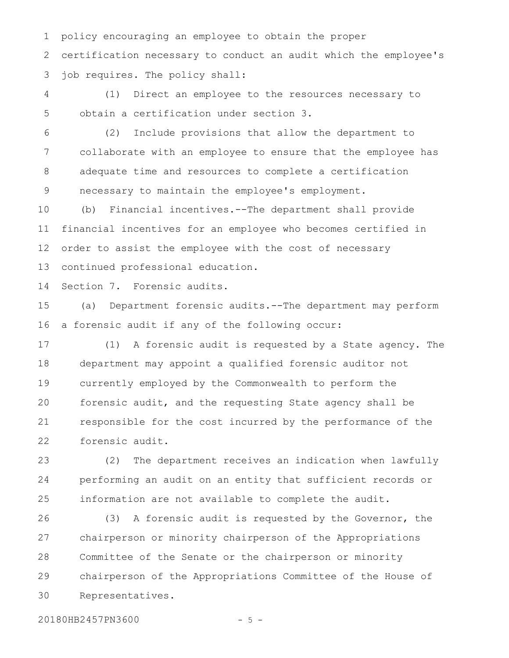policy encouraging an employee to obtain the proper certification necessary to conduct an audit which the employee's job requires. The policy shall: 1 2 3

(1) Direct an employee to the resources necessary to obtain a certification under section 3. 4 5

(2) Include provisions that allow the department to collaborate with an employee to ensure that the employee has adequate time and resources to complete a certification necessary to maintain the employee's employment. 6 7 8 9

(b) Financial incentives.--The department shall provide financial incentives for an employee who becomes certified in order to assist the employee with the cost of necessary continued professional education. 10 11 12 13

Section 7. Forensic audits. 14

(a) Department forensic audits.--The department may perform a forensic audit if any of the following occur: 15 16

(1) A forensic audit is requested by a State agency. The department may appoint a qualified forensic auditor not currently employed by the Commonwealth to perform the forensic audit, and the requesting State agency shall be responsible for the cost incurred by the performance of the forensic audit. 17 18 19 20 21 22

(2) The department receives an indication when lawfully performing an audit on an entity that sufficient records or information are not available to complete the audit. 23 24 25

(3) A forensic audit is requested by the Governor, the chairperson or minority chairperson of the Appropriations Committee of the Senate or the chairperson or minority chairperson of the Appropriations Committee of the House of Representatives. 26 27 28 29 30

20180HB2457PN3600 - 5 -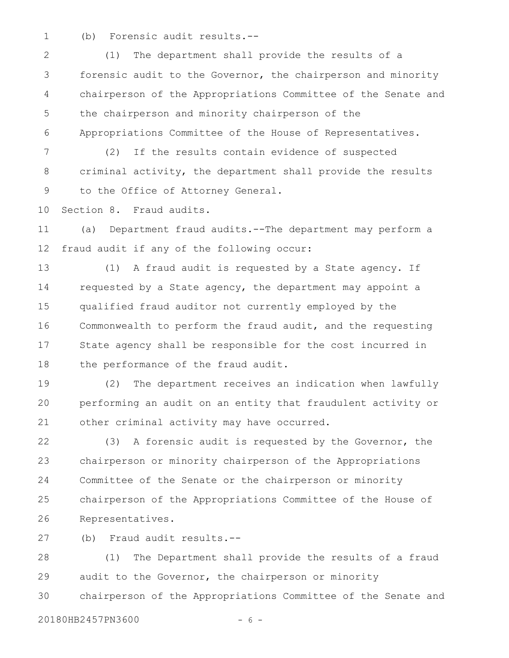(b) Forensic audit results.-- 1

(1) The department shall provide the results of a forensic audit to the Governor, the chairperson and minority chairperson of the Appropriations Committee of the Senate and the chairperson and minority chairperson of the Appropriations Committee of the House of Representatives. 2 3 4 5 6

(2) If the results contain evidence of suspected criminal activity, the department shall provide the results to the Office of Attorney General. 7 8 9

Section 8. Fraud audits. 10

(a) Department fraud audits.--The department may perform a fraud audit if any of the following occur: 11 12

(1) A fraud audit is requested by a State agency. If requested by a State agency, the department may appoint a qualified fraud auditor not currently employed by the Commonwealth to perform the fraud audit, and the requesting State agency shall be responsible for the cost incurred in the performance of the fraud audit. 13 14 15 16 17 18

(2) The department receives an indication when lawfully performing an audit on an entity that fraudulent activity or other criminal activity may have occurred. 19 20 21

(3) A forensic audit is requested by the Governor, the chairperson or minority chairperson of the Appropriations Committee of the Senate or the chairperson or minority chairperson of the Appropriations Committee of the House of Representatives. 22 23 24 25 26

(b) Fraud audit results.-- 27

(1) The Department shall provide the results of a fraud audit to the Governor, the chairperson or minority chairperson of the Appropriations Committee of the Senate and 28 29 30

20180HB2457PN3600 - 6 -